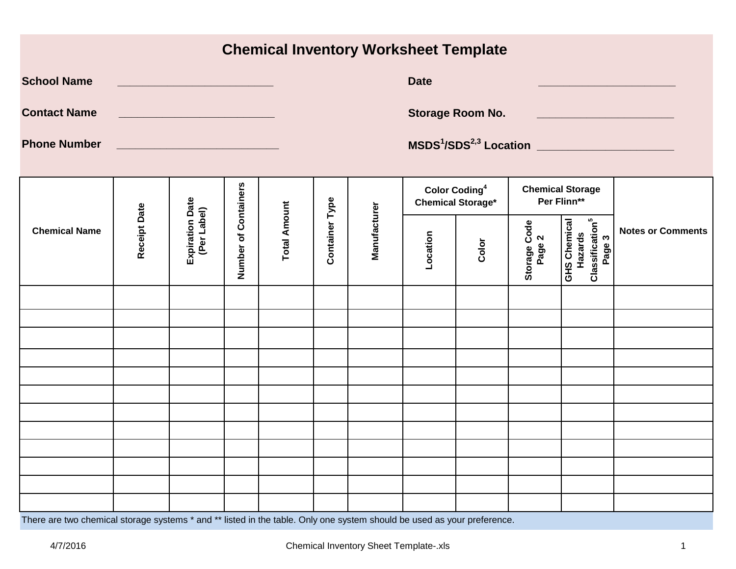|  |  |  | <b>Chemical Inventory Worksheet Template</b> |  |
|--|--|--|----------------------------------------------|--|
|--|--|--|----------------------------------------------|--|

| <b>School Name</b><br><b>Contact Name</b><br><b>Phone Number</b> |              | <u> 1980 - Johann Barnett, fransk politiker (</u><br><u> 1990 - Johann Barn, mars an t-Amerikaansk kommunister (</u> |                      |                     |                       |              | <b>Date</b> | <b>Storage Room No.</b>                                     |                        |                                                                                | MSDS <sup>1</sup> /SDS <sup>2,3</sup> Location ________________________ |
|------------------------------------------------------------------|--------------|----------------------------------------------------------------------------------------------------------------------|----------------------|---------------------|-----------------------|--------------|-------------|-------------------------------------------------------------|------------------------|--------------------------------------------------------------------------------|-------------------------------------------------------------------------|
|                                                                  |              |                                                                                                                      |                      |                     |                       |              |             | <b>Color Coding<sup>4</sup></b><br><b>Chemical Storage*</b> |                        | <b>Chemical Storage</b><br>Per Flinn**                                         |                                                                         |
| <b>Chemical Name</b>                                             | Receipt Date | Expiration Date<br>(Per Label)                                                                                       | Number of Containers | <b>Total Amount</b> | <b>Container Type</b> | Manufacturer | Location    | Color                                                       | Storage Code<br>Page 2 | <b>Classification</b> <sup>5</sup><br><b>GHS Chemical</b><br>Hazards<br>Page 3 | <b>Notes or Comments</b>                                                |
|                                                                  |              |                                                                                                                      |                      |                     |                       |              |             |                                                             |                        |                                                                                |                                                                         |
|                                                                  |              |                                                                                                                      |                      |                     |                       |              |             |                                                             |                        |                                                                                |                                                                         |
|                                                                  |              |                                                                                                                      |                      |                     |                       |              |             |                                                             |                        |                                                                                |                                                                         |
|                                                                  |              |                                                                                                                      |                      |                     |                       |              |             |                                                             |                        |                                                                                |                                                                         |
|                                                                  |              |                                                                                                                      |                      |                     |                       |              |             |                                                             |                        |                                                                                |                                                                         |
|                                                                  |              |                                                                                                                      |                      |                     |                       |              |             |                                                             |                        |                                                                                |                                                                         |
|                                                                  |              |                                                                                                                      |                      |                     |                       |              |             |                                                             |                        |                                                                                |                                                                         |
|                                                                  |              |                                                                                                                      |                      |                     |                       |              |             |                                                             |                        |                                                                                |                                                                         |
|                                                                  |              |                                                                                                                      |                      |                     |                       |              |             |                                                             |                        |                                                                                |                                                                         |
|                                                                  |              |                                                                                                                      |                      |                     |                       |              |             |                                                             |                        |                                                                                |                                                                         |
|                                                                  |              |                                                                                                                      |                      |                     |                       |              |             |                                                             |                        |                                                                                |                                                                         |

There are two chemical storage systems \* and \*\* listed in the table. Only one system should be used as your preference.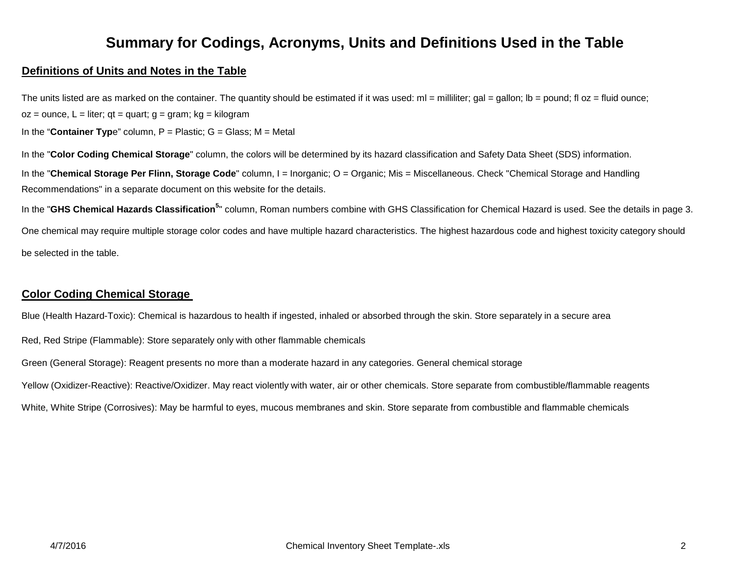### **Summary for Codings, Acronyms, Units and Definitions Used in the Table**

### **Definitions of Units and Notes in the Table**

The units listed are as marked on the container. The quantity should be estimated if it was used:  $ml =$  milliliter; gal = gallon;  $lb =$  pound; fl oz = fluid ounce;  $oz = ounce$ ,  $L = liter$ ; qt = quart; g = gram; kg = kilogram

In the "**Container Typ**e" column, P = Plastic; G = Glass; M = Metal

In the "**Color Coding Chemical Storage**" column, the colors will be determined by its hazard classification and Safety Data Sheet (SDS) information.

In the "Chemical Storage Per Flinn, Storage Code" column, I = Inorganic; O = Organic; Mis = Miscellaneous. Check "Chemical Storage and Handling Recommendations" in a separate document on this website for the details.

In the "**GHS Chemical Hazards Classification<sup>5</sup>**" column, Roman numbers combine with GHS Classification for Chemical Hazard is used. See the details in page 3.

One chemical may require multiple storage color codes and have multiple hazard characteristics. The highest hazardous code and highest toxicity category should be selected in the table.

### **Color Coding Chemical Storage**

Blue (Health Hazard-Toxic): Chemical is hazardous to health if ingested, inhaled or absorbed through the skin. Store separately in a secure area

Red, Red Stripe (Flammable): Store separately only with other flammable chemicals

Green (General Storage): Reagent presents no more than a moderate hazard in any categories. General chemical storage

Yellow (Oxidizer-Reactive): Reactive/Oxidizer. May react violently with water, air or other chemicals. Store separate from combustible/flammable reagents

White, White Stripe (Corrosives): May be harmful to eyes, mucous membranes and skin. Store separate from combustible and flammable chemicals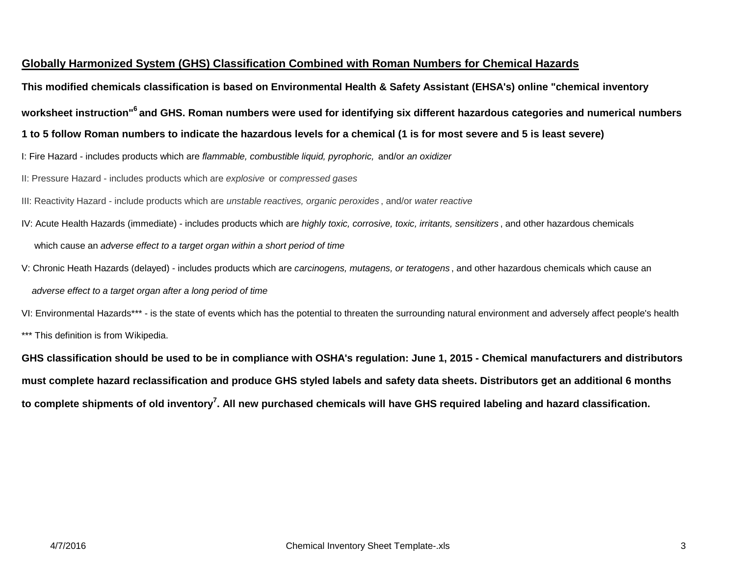### **Globally Harmonized System (GHS) Classification Combined with Roman Numbers for Chemical Hazards**

**This modified chemicals classification is based on Environmental Health & Safety Assistant (EHSA's) online "chemical inventory** 

**worksheet instruction"6 and GHS. Roman numbers were used for identifying six different hazardous categories and numerical numbers** 

**1 to 5 follow Roman numbers to indicate the hazardous levels for a chemical (1 is for most severe and 5 is least severe)**

I: Fire Hazard - includes products which are *flammable, combustible liquid, pyrophoric,* and/or *an oxidizer*

II: Pressure Hazard - includes products which are *explosive* or *compressed gases*

III: Reactivity Hazard - include products which are *unstable reactives, organic peroxides* , and/or *water reactive* 

- IV: Acute Health Hazards (immediate) includes products which are *highly toxic, corrosive, toxic, irritants, sensitizers* , and other hazardous chemicals which cause an *adverse effect to a target organ within a short period of time*
- V: Chronic Heath Hazards (delayed) includes products which are *carcinogens, mutagens, or teratogens* , and other hazardous chemicals which cause an *adverse effect to a target organ after a long period of time*

VI: Environmental Hazards\*\*\* - is the state of events which has the potential to threaten the surrounding natural environment and adversely affect people's health \*\*\* This definition is from Wikipedia.

**GHS classification should be used to be in compliance with OSHA's regulation: June 1, 2015 - Chemical manufacturers and distributors must complete hazard reclassification and produce GHS styled labels and safety data sheets. Distributors get an additional 6 months to complete shipments of old inventory7. All new purchased chemicals will have GHS required labeling and hazard classification.**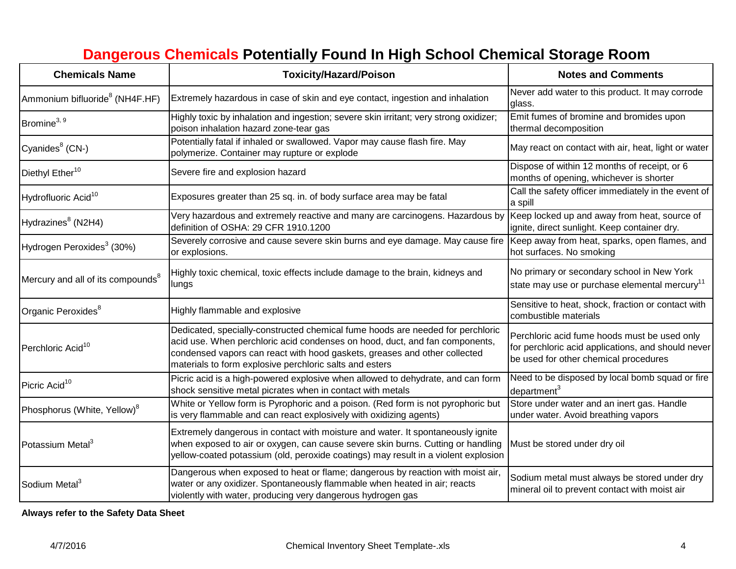# **Dangerous Chemicals Potentially Found In High School Chemical Storage Room**

| <b>Chemicals Name</b>                         | <b>Toxicity/Hazard/Poison</b>                                                                                                                                                                                                                                                                         | <b>Notes and Comments</b>                                                                                                                   |  |  |  |
|-----------------------------------------------|-------------------------------------------------------------------------------------------------------------------------------------------------------------------------------------------------------------------------------------------------------------------------------------------------------|---------------------------------------------------------------------------------------------------------------------------------------------|--|--|--|
| Ammonium bifluoride <sup>8</sup> (NH4F.HF)    | Extremely hazardous in case of skin and eye contact, ingestion and inhalation                                                                                                                                                                                                                         | Never add water to this product. It may corrode<br>glass.                                                                                   |  |  |  |
| Bromine <sup>3, 9</sup>                       | Highly toxic by inhalation and ingestion; severe skin irritant; very strong oxidizer;<br>poison inhalation hazard zone-tear gas                                                                                                                                                                       | Emit fumes of bromine and bromides upon<br>thermal decomposition                                                                            |  |  |  |
| Cyanides <sup>8</sup> (CN-)                   | Potentially fatal if inhaled or swallowed. Vapor may cause flash fire. May<br>polymerize. Container may rupture or explode                                                                                                                                                                            | May react on contact with air, heat, light or water                                                                                         |  |  |  |
| Diethyl Ether <sup>10</sup>                   | Severe fire and explosion hazard                                                                                                                                                                                                                                                                      | Dispose of within 12 months of receipt, or 6<br>months of opening, whichever is shorter                                                     |  |  |  |
| Hydrofluoric Acid <sup>10</sup>               | Exposures greater than 25 sq. in. of body surface area may be fatal                                                                                                                                                                                                                                   | Call the safety officer immediately in the event of<br>a spill                                                                              |  |  |  |
| Hydrazines <sup>8</sup> (N2H4)                | Very hazardous and extremely reactive and many are carcinogens. Hazardous by<br>definition of OSHA: 29 CFR 1910.1200                                                                                                                                                                                  | Keep locked up and away from heat, source of<br>ignite, direct sunlight. Keep container dry.                                                |  |  |  |
| Hydrogen Peroxides <sup>3</sup> (30%)         | Severely corrosive and cause severe skin burns and eye damage. May cause fire<br>or explosions.                                                                                                                                                                                                       | Keep away from heat, sparks, open flames, and<br>hot surfaces. No smoking                                                                   |  |  |  |
| Mercury and all of its compounds <sup>8</sup> | Highly toxic chemical, toxic effects include damage to the brain, kidneys and<br>lungs                                                                                                                                                                                                                | No primary or secondary school in New York<br>state may use or purchase elemental mercury <sup>11</sup>                                     |  |  |  |
| Organic Peroxides <sup>8</sup>                | Highly flammable and explosive                                                                                                                                                                                                                                                                        | Sensitive to heat, shock, fraction or contact with<br>combustible materials                                                                 |  |  |  |
| Perchloric Acid <sup>10</sup>                 | Dedicated, specially-constructed chemical fume hoods are needed for perchloric<br>acid use. When perchloric acid condenses on hood, duct, and fan components,<br>condensed vapors can react with hood gaskets, greases and other collected<br>materials to form explosive perchloric salts and esters | Perchloric acid fume hoods must be used only<br>for perchloric acid applications, and should never<br>be used for other chemical procedures |  |  |  |
| Picric Acid <sup>10</sup>                     | Picric acid is a high-powered explosive when allowed to dehydrate, and can form<br>shock sensitive metal picrates when in contact with metals                                                                                                                                                         | Need to be disposed by local bomb squad or fire<br>department <sup>3</sup>                                                                  |  |  |  |
| Phosphorus (White, Yellow) <sup>8</sup>       | White or Yellow form is Pyrophoric and a poison. (Red form is not pyrophoric but<br>is very flammable and can react explosively with oxidizing agents)                                                                                                                                                | Store under water and an inert gas. Handle<br>under water. Avoid breathing vapors                                                           |  |  |  |
| Potassium Metal <sup>3</sup>                  | Extremely dangerous in contact with moisture and water. It spontaneously ignite<br>when exposed to air or oxygen, can cause severe skin burns. Cutting or handling<br>yellow-coated potassium (old, peroxide coatings) may result in a violent explosion                                              | Must be stored under dry oil                                                                                                                |  |  |  |
| Sodium Metal <sup>3</sup>                     | Dangerous when exposed to heat or flame; dangerous by reaction with moist air,<br>water or any oxidizer. Spontaneously flammable when heated in air; reacts<br>violently with water, producing very dangerous hydrogen gas                                                                            | Sodium metal must always be stored under dry<br>mineral oil to prevent contact with moist air                                               |  |  |  |

**Always refer to the Safety Data Sheet**